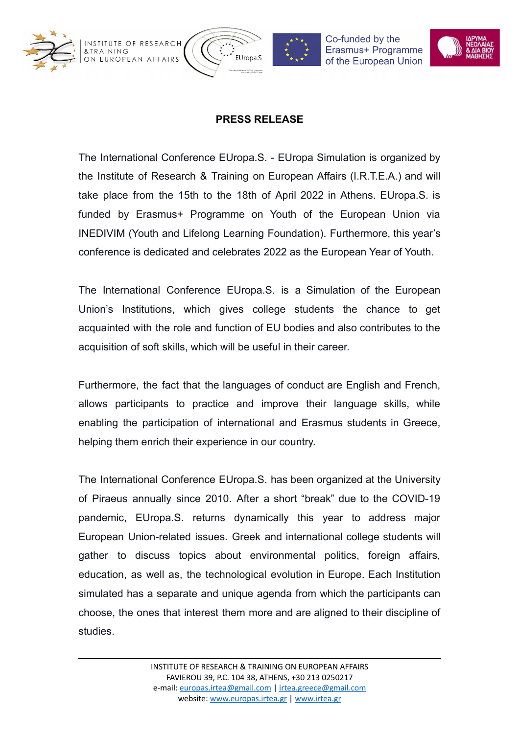



Co-funded by the Erasmus+ Programme of the European Union



## **PRESS RELEASE**

The International Conference EUropa.S. - EUropa Simulation is organized by the Institute of Research & Training on European Affairs (I.R.T.E.A.) and will take place from the 15th to the 18th of April 2022 in Athens. EUropa.S. is funded by Erasmus+ Programme on Youth of the European Union via INEDIVIM (Youth and Lifelong Learning Foundation). Furthermore, this year's conference is dedicated and celebrates 2022 as the European Year of Youth.

The International Conference EUropa.S. is a Simulation of the European Union's Institutions, which gives college students the chance to get acquainted with the role and function of EU bodies and also contributes to the acquisition of soft skills, which will be useful in their career.

Furthermore, the fact that the languages of conduct are English and French, allows participants to practice and improve their language skills, while enabling the participation of international and Erasmus students in Greece, helping them enrich their experience in our country.

The International Conference EUropa.S. has been organized at the University of Piraeus annually since 2010. After a short "break" due to the COVID-19 pandemic, EUropa.S. returns dynamically this year to address major European Union-related issues. Greek and international college students will gather to discuss topics about environmental politics, foreign affairs, education, as well as, the technological evolution in Europe. Each Institution simulated has a separate and unique agenda from which the participants can choose, the ones that interest them more and are aligned to their discipline of studies.